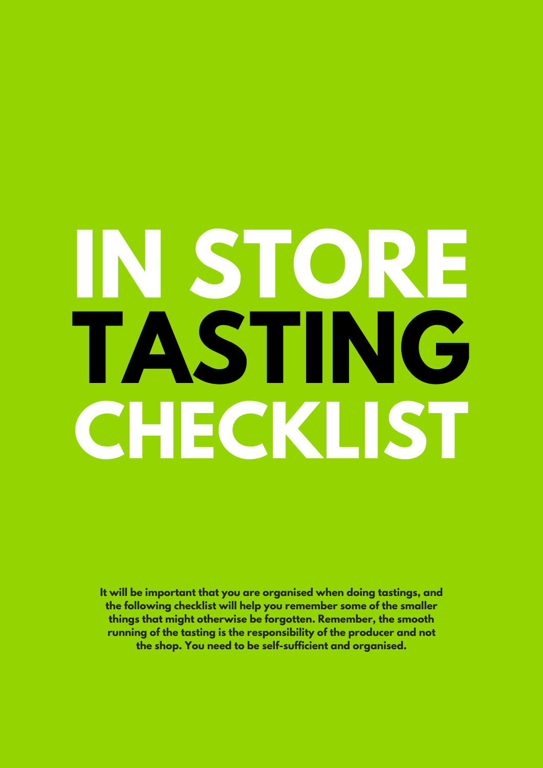# **IN STORE TASTING CHECKLIST**

**It will be important that you are organised when doing tastings, and the following checklist will help you remember some of the smaller things that might otherwise be forgotten. Remember, the smooth running of the tasting is the responsibility of the producer and not the shop. You need to be self-sufficient and organised.**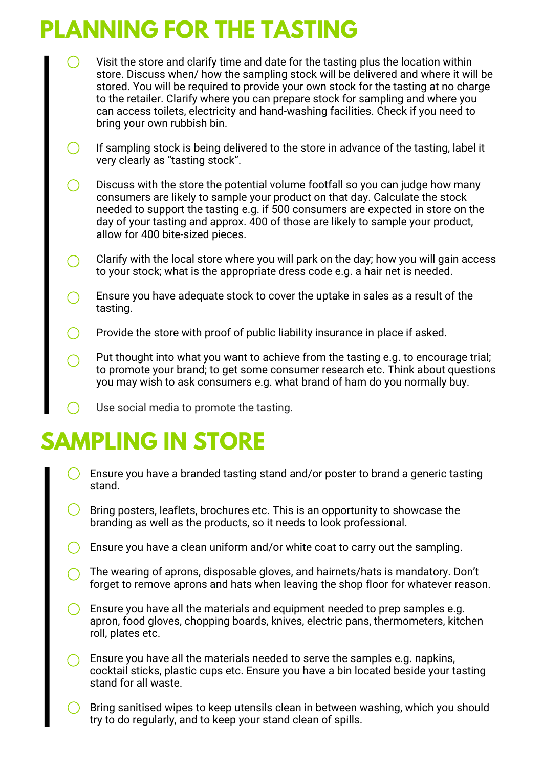## **PLANNING FOR THE TASTING**

- Visit the store and clarify time and date for the tasting plus the location within store. Discuss when/ how the sampling stock will be delivered and where it will be stored. You will be required to provide your own stock for the tasting at no charge to the retailer. Clarify where you can prepare stock for sampling and where you can access toilets, electricity and hand-washing facilities. Check if you need to bring your own rubbish bin.
- $\bigcirc$ If sampling stock is being delivered to the store in advance of the tasting, label it very clearly as "tasting stock".
- Discuss with the store the potential volume footfall so you can judge how many  $\bigcirc$ consumers are likely to sample your product on that day. Calculate the stock needed to support the tasting e.g. if 500 consumers are expected in store on the day of your tasting and approx. 400 of those are likely to sample your product, allow for 400 bite-sized pieces.
- Clarify with the local store where you will park on the day; how you will gain access  $\bigcirc$ to your stock; what is the appropriate dress code e.g. a hair net is needed.
- Ensure you have adequate stock to cover the uptake in sales as a result of the  $\left(\begin{array}{c} \end{array}\right)$ tasting.
- $\bigcap$ Provide the store with proof of public liability insurance in place if asked.
- Put thought into what you want to achieve from the tasting e.g. to encourage trial; to promote your brand; to get some consumer research etc. Think about questions you may wish to ask consumers e.g. what brand of ham do you normally buy.
- Use social media to promote the tasting.

# **SAMPLING IN STORE**

- Ensure you have a branded tasting stand and/or poster to brand a generic tasting stand.
- Bring posters, leaflets, brochures etc. This is an opportunity to showcase the branding as well as the products, so it needs to look professional.
- $\bigcirc$  Ensure you have a clean uniform and/or white coat to carry out the sampling.
- The wearing of aprons, disposable gloves, and hairnets/hats is mandatory. Don't forget to remove aprons and hats when leaving the shop floor for whatever reason.
- Ensure you have all the materials and equipment needed to prep samples e.g. apron, food gloves, chopping boards, knives, electric pans, thermometers, kitchen roll, plates etc.
- Ensure you have all the materials needed to serve the samples e.g. napkins, cocktail sticks, plastic cups etc. Ensure you have a bin located beside your tasting stand for all waste.
- Bring sanitised wipes to keep utensils clean in between washing, which you should try to do regularly, and to keep your stand clean of spills.